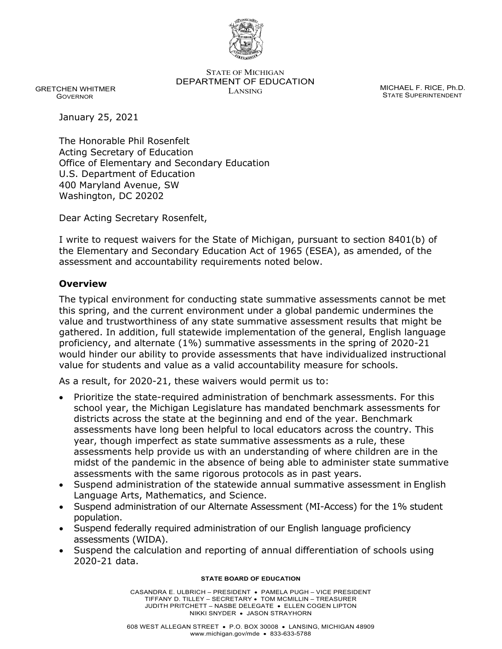

STATE OF MICHIGAN DEPARTMENT OF EDUCATION MICHAEL F. RICE, Ph.D.<br>LANSING

 GRETCHEN WHITMER GOVERNOR

STATE SUPERINTENDENT

January 25, 2021

The Honorable Phil Rosenfelt Acting Secretary of Education Office of Elementary and Secondary Education U.S. Department of Education 400 Maryland Avenue, SW Washington, DC 20202

Dear Acting Secretary Rosenfelt,

I write to request waivers for the State of Michigan, pursuant to section 8401(b) of the Elementary and Secondary Education Act of 1965 (ESEA), as amended, of the assessment and accountability requirements noted below.

### **Overview**

The typical environment for conducting state summative assessments cannot be met this spring, and the current environment under a global pandemic undermines the value and trustworthiness of any state summative assessment results that might be gathered. In addition, full statewide implementation of the general, English language proficiency, and alternate (1%) summative assessments in the spring of 2020-21 would hinder our ability to provide assessments that have individualized instructional value for students and value as a valid accountability measure for schools.

As a result, for 2020-21, these waivers would permit us to:

- Prioritize the state-required administration of benchmark assessments. For this school year, the Michigan Legislature has mandated benchmark assessments for districts across the state at the beginning and end of the year. Benchmark assessments have long been helpful to local educators across the country. This year, though imperfect as state summative assessments as a rule, these assessments help provide us with an understanding of where children are in the midst of the pandemic in the absence of being able to administer state summative assessments with the same rigorous protocols as in past years.
- Suspend administration of the statewide annual summative assessment in English Language Arts, Mathematics, and Science.
- Suspend administration of our Alternate Assessment (MI-Access) for the 1% student population.
- Suspend federally required administration of our English language proficiency assessments (WIDA).
- Suspend the calculation and reporting of annual differentiation of schools using 2020-21 data.

#### **STATE BOARD OF EDUCATION**

CASANDRA E. ULBRICH – PRESIDENT • PAMELA PUGH – VICE PRESIDENT TIFFANY D. TILLEY – SECRETARY • TOM MCMILLIN – TREASURER JUDITH PRITCHETT – NASBE DELEGATE • ELLEN COGEN LIPTON NIKKI SNYDER • JASON STRAYHORN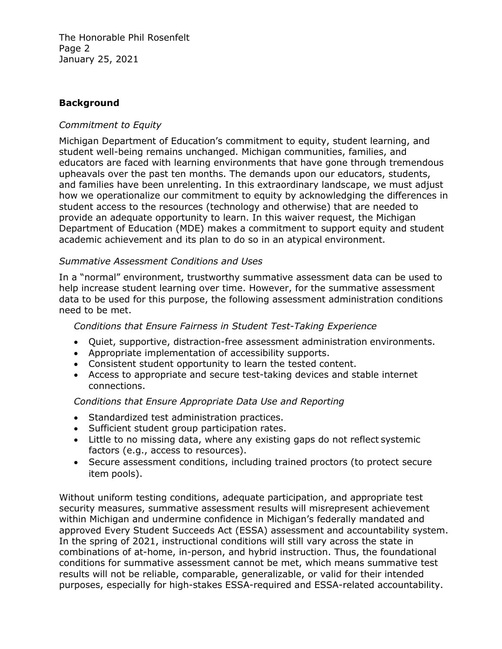The Honorable Phil Rosenfelt Page 2 January 25, 2021

#### **Background**

#### *Commitment to Equity*

Michigan Department of Education's commitment to equity, student learning, and student well-being remains unchanged. Michigan communities, families, and educators are faced with learning environments that have gone through tremendous upheavals over the past ten months. The demands upon our educators, students, and families have been unrelenting. In this extraordinary landscape, we must adjust how we operationalize our commitment to equity by acknowledging the differences in student access to the resources (technology and otherwise) that are needed to provide an adequate opportunity to learn. In this waiver request, the Michigan Department of Education (MDE) makes a commitment to support equity and student academic achievement and its plan to do so in an atypical environment.

#### *Summative Assessment Conditions and Uses*

In a "normal" environment, trustworthy summative assessment data can be used to help increase student learning over time. However, for the summative assessment data to be used for this purpose, the following assessment administration conditions need to be met.

#### *Conditions that Ensure Fairness in Student Test-Taking Experience*

- Quiet, supportive, distraction-free assessment administration environments.
- Appropriate implementation of accessibility supports.
- Consistent student opportunity to learn the tested content.
- Access to appropriate and secure test-taking devices and stable internet connections.

#### *Conditions that Ensure Appropriate Data Use and Reporting*

- Standardized test administration practices.
- Sufficient student group participation rates.
- Little to no missing data, where any existing gaps do not reflect systemic factors (e.g., access to resources).
- Secure assessment conditions, including trained proctors (to protect secure item pools).

Without uniform testing conditions, adequate participation, and appropriate test security measures, summative assessment results will misrepresent achievement within Michigan and undermine confidence in Michigan's federally mandated and approved Every Student Succeeds Act (ESSA) assessment and accountability system. In the spring of 2021, instructional conditions will still vary across the state in combinations of at-home, in-person, and hybrid instruction. Thus, the foundational conditions for summative assessment cannot be met, which means summative test results will not be reliable, comparable, generalizable, or valid for their intended purposes, especially for high-stakes ESSA-required and ESSA-related accountability.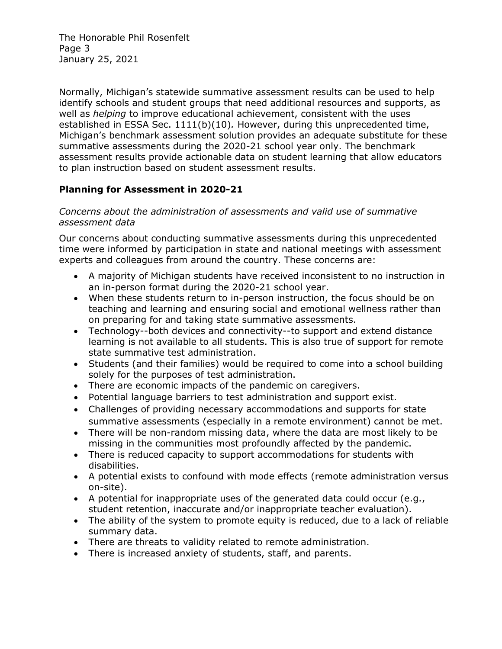The Honorable Phil Rosenfelt Page 3 January 25, 2021

Normally, Michigan's statewide summative assessment results can be used to help identify schools and student groups that need additional resources and supports, as well as *helping* to improve educational achievement, consistent with the uses established in ESSA Sec. 1111(b)(10)*.* However, during this unprecedented time, Michigan's benchmark assessment solution provides an adequate substitute for these summative assessments during the 2020-21 school year only. The benchmark assessment results provide actionable data on student learning that allow educators to plan instruction based on student assessment results.

## **Planning for Assessment in 2020-21**

#### *Concerns about the administration of assessments and valid use of summative assessment data*

Our concerns about conducting summative assessments during this unprecedented time were informed by participation in state and national meetings with assessment experts and colleagues from around the country. These concerns are:

- A majority of Michigan students have received inconsistent to no instruction in an in-person format during the 2020-21 school year.
- When these students return to in-person instruction, the focus should be on teaching and learning and ensuring social and emotional wellness rather than on preparing for and taking state summative assessments.
- Technology--both devices and connectivity--to support and extend distance learning is not available to all students. This is also true of support for remote state summative test administration.
- Students (and their families) would be required to come into a school building solely for the purposes of test administration.
- There are economic impacts of the pandemic on caregivers.
- Potential language barriers to test administration and support exist.
- Challenges of providing necessary accommodations and supports for state summative assessments (especially in a remote environment) cannot be met.
- There will be non-random missing data, where the data are most likely to be missing in the communities most profoundly affected by the pandemic.
- There is reduced capacity to support accommodations for students with disabilities.
- A potential exists to confound with mode effects (remote administration versus on-site).
- A potential for inappropriate uses of the generated data could occur (e.g., student retention, inaccurate and/or inappropriate teacher evaluation).
- The ability of the system to promote equity is reduced, due to a lack of reliable summary data.
- There are threats to validity related to remote administration.
- There is increased anxiety of students, staff, and parents.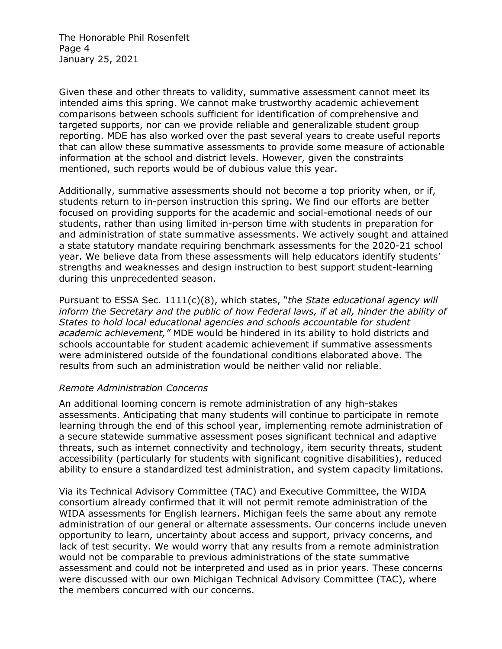The Honorable Phil Rosenfelt Page 4 January 25, 2021

Given these and other threats to validity, summative assessment cannot meet its intended aims this spring. We cannot make trustworthy academic achievement comparisons between schools sufficient for identification of comprehensive and targeted supports, nor can we provide reliable and generalizable student group reporting. MDE has also worked over the past several years to create useful reports that can allow these summative assessments to provide some measure of actionable information at the school and district levels. However, given the constraints mentioned, such reports would be of dubious value this year.

Additionally, summative assessments should not become a top priority when, or if, students return to in-person instruction this spring. We find our efforts are better focused on providing supports for the academic and social-emotional needs of our students, rather than using limited in-person time with students in preparation for and administration of state summative assessments. We actively sought and attained a state statutory mandate requiring benchmark assessments for the 2020-21 school year. We believe data from these assessments will help educators identify students' strengths and weaknesses and design instruction to best support student-learning during this unprecedented season.

Pursuant to ESSA Sec. 1111(c)(8), which states, "*the State educational agency will inform the Secretary and the public of how Federal laws, if at all, hinder the ability of States to hold local educational agencies and schools accountable for student academic achievement,"* MDE would be hindered in its ability to hold districts and schools accountable for student academic achievement if summative assessments were administered outside of the foundational conditions elaborated above. The results from such an administration would be neither valid nor reliable.

#### *Remote Administration Concerns*

An additional looming concern is remote administration of any high-stakes assessments. Anticipating that many students will continue to participate in remote learning through the end of this school year, implementing remote administration of a secure statewide summative assessment poses significant technical and adaptive threats, such as internet connectivity and technology, item security threats, student accessibility (particularly for students with significant cognitive disabilities), reduced ability to ensure a standardized test administration, and system capacity limitations.

Via its Technical Advisory Committee (TAC) and Executive Committee, the WIDA consortium already confirmed that it will not permit remote administration of the WIDA assessments for English learners. Michigan feels the same about any remote administration of our general or alternate assessments. Our concerns include uneven opportunity to learn, uncertainty about access and support, privacy concerns, and lack of test security. We would worry that any results from a remote administration would not be comparable to previous administrations of the state summative assessment and could not be interpreted and used as in prior years. These concerns were discussed with our own Michigan Technical Advisory Committee (TAC), where the members concurred with our concerns.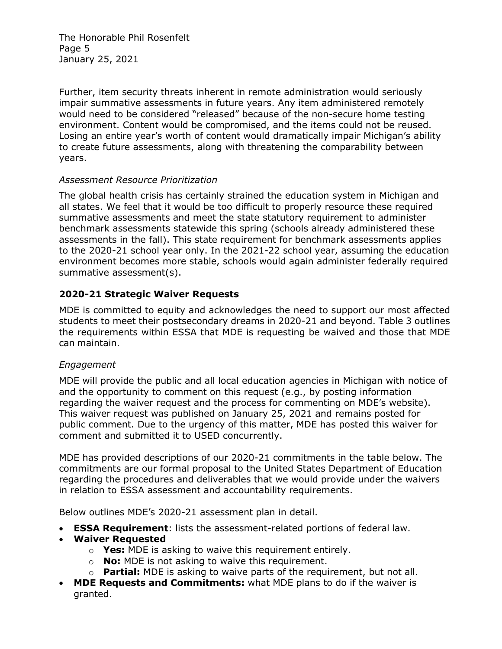The Honorable Phil Rosenfelt Page 5 January 25, 2021

Further, item security threats inherent in remote administration would seriously impair summative assessments in future years. Any item administered remotely would need to be considered "released" because of the non-secure home testing environment. Content would be compromised, and the items could not be reused. Losing an entire year's worth of content would dramatically impair Michigan's ability to create future assessments, along with threatening the comparability between years.

#### *Assessment Resource Prioritization*

The global health crisis has certainly strained the education system in Michigan and all states. We feel that it would be too difficult to properly resource these required summative assessments and meet the state statutory requirement to administer benchmark assessments statewide this spring (schools already administered these assessments in the fall). This state requirement for benchmark assessments applies to the 2020-21 school year only. In the 2021-22 school year, assuming the education environment becomes more stable, schools would again administer federally required summative assessment(s).

### **2020-21 Strategic Waiver Requests**

MDE is committed to equity and acknowledges the need to support our most affected students to meet their postsecondary dreams in 2020-21 and beyond. Table 3 outlines the requirements within ESSA that MDE is requesting be waived and those that MDE can maintain.

### *Engagement*

MDE will provide the public and all local education agencies in Michigan with notice of and the opportunity to comment on this request (e.g., by posting information regarding the waiver request and the process for commenting on MDE's website). This waiver request was published on January 25, 2021 and remains posted for public comment. Due to the urgency of this matter, MDE has posted this waiver for comment and submitted it to USED concurrently.

MDE has provided descriptions of our 2020-21 commitments in the table below. The commitments are our formal proposal to the United States Department of Education regarding the procedures and deliverables that we would provide under the waivers in relation to ESSA assessment and accountability requirements.

Below outlines MDE's 2020-21 assessment plan in detail.

- **ESSA Requirement**: lists the assessment-related portions of federal law.
- **Waiver Requested**
	- o **Yes:** MDE is asking to waive this requirement entirely.
	- o **No:** MDE is not asking to waive this requirement.
	- o **Partial:** MDE is asking to waive parts of the requirement, but not all.
- **MDE Requests and Commitments:** what MDE plans to do if the waiver is granted.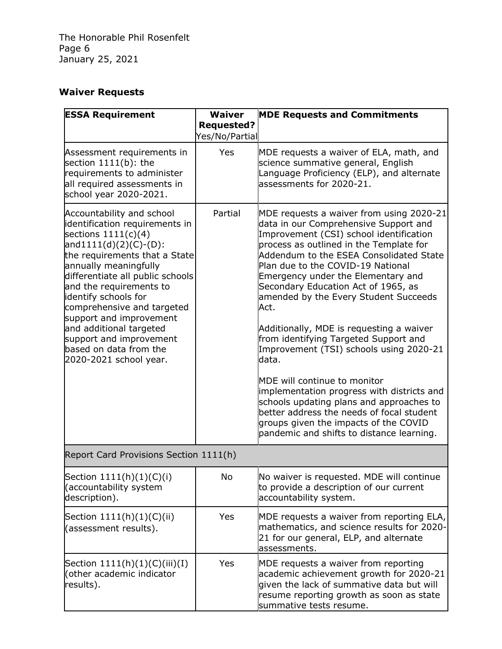# **Waiver Requests**

| <b>ESSA Requirement</b>                                                                                                                                                                                                                                                                                                                                                                                                              | <b>Waiver</b>                       | <b>MDE Requests and Commitments</b>                                                                                                                                                                                                                                                                                                                                                                                                                                                                                                                                                                                                                                                                                                                                                         |  |
|--------------------------------------------------------------------------------------------------------------------------------------------------------------------------------------------------------------------------------------------------------------------------------------------------------------------------------------------------------------------------------------------------------------------------------------|-------------------------------------|---------------------------------------------------------------------------------------------------------------------------------------------------------------------------------------------------------------------------------------------------------------------------------------------------------------------------------------------------------------------------------------------------------------------------------------------------------------------------------------------------------------------------------------------------------------------------------------------------------------------------------------------------------------------------------------------------------------------------------------------------------------------------------------------|--|
|                                                                                                                                                                                                                                                                                                                                                                                                                                      | <b>Requested?</b><br>Yes/No/Partial |                                                                                                                                                                                                                                                                                                                                                                                                                                                                                                                                                                                                                                                                                                                                                                                             |  |
| Assessment requirements in<br>section 1111(b): the<br>requirements to administer<br>all required assessments in<br>school year 2020-2021.                                                                                                                                                                                                                                                                                            | Yes                                 | MDE requests a waiver of ELA, math, and<br>science summative general, English<br>Language Proficiency (ELP), and alternate<br>assessments for 2020-21.                                                                                                                                                                                                                                                                                                                                                                                                                                                                                                                                                                                                                                      |  |
| Accountability and school<br>identification requirements in<br>sections $1111(c)(4)$<br>$and1111(d)(2)(C)-(D)$ :<br>the requirements that a State<br>annually meaningfully<br>differentiate all public schools<br>and the requirements to<br>identify schools for<br>comprehensive and targeted<br>support and improvement<br>and additional targeted<br>support and improvement<br>based on data from the<br>2020-2021 school year. | Partial                             | MDE requests a waiver from using 2020-21<br>data in our Comprehensive Support and<br>Improvement (CSI) school identification<br>process as outlined in the Template for<br>Addendum to the ESEA Consolidated State<br>Plan due to the COVID-19 National<br>Emergency under the Elementary and<br>Secondary Education Act of 1965, as<br>amended by the Every Student Succeeds<br>Act.<br>Additionally, MDE is requesting a waiver<br>from identifying Targeted Support and<br>Improvement (TSI) schools using 2020-21<br>data.<br>MDE will continue to monitor<br>implementation progress with districts and<br>schools updating plans and approaches to<br>better address the needs of focal student<br>groups given the impacts of the COVID<br>pandemic and shifts to distance learning. |  |
| Report Card Provisions Section 1111(h)                                                                                                                                                                                                                                                                                                                                                                                               |                                     |                                                                                                                                                                                                                                                                                                                                                                                                                                                                                                                                                                                                                                                                                                                                                                                             |  |
| Section 1111(h)(1)(C)(i)<br>(accountability system<br>description).                                                                                                                                                                                                                                                                                                                                                                  | NO.                                 | No waiver is requested. MDE will continue<br>to provide a description of our current<br>accountability system.                                                                                                                                                                                                                                                                                                                                                                                                                                                                                                                                                                                                                                                                              |  |
| Section 1111(h)(1)(C)(ii)<br>(assessment results).                                                                                                                                                                                                                                                                                                                                                                                   | Yes                                 | MDE requests a waiver from reporting ELA,<br>mathematics, and science results for 2020-<br>21 for our general, ELP, and alternate<br>assessments.                                                                                                                                                                                                                                                                                                                                                                                                                                                                                                                                                                                                                                           |  |
| Section $1111(h)(1)(C)(iii)(I)$<br>(other academic indicator<br>results).                                                                                                                                                                                                                                                                                                                                                            | Yes                                 | MDE requests a waiver from reporting<br>academic achievement growth for 2020-21<br>given the lack of summative data but will<br>resume reporting growth as soon as state<br>summative tests resume.                                                                                                                                                                                                                                                                                                                                                                                                                                                                                                                                                                                         |  |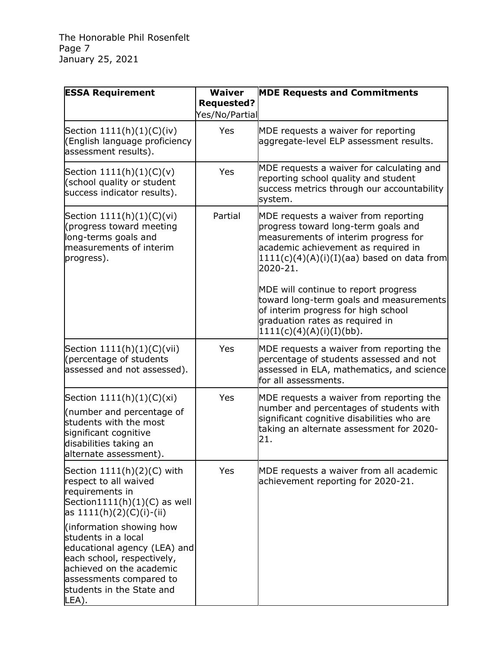| <b>ESSA Requirement</b>                                                                                                                                                                                                                                                                                           | <b>Waiver</b>                       | <b>MDE Requests and Commitments</b>                                                                                                                                                                                    |
|-------------------------------------------------------------------------------------------------------------------------------------------------------------------------------------------------------------------------------------------------------------------------------------------------------------------|-------------------------------------|------------------------------------------------------------------------------------------------------------------------------------------------------------------------------------------------------------------------|
|                                                                                                                                                                                                                                                                                                                   | <b>Requested?</b><br>Yes/No/Partial |                                                                                                                                                                                                                        |
| Section $1111(h)(1)(C)(iv)$<br>(English language proficiency<br>assessment results).                                                                                                                                                                                                                              | <b>Yes</b>                          | MDE requests a waiver for reporting<br>aggregate-level ELP assessment results.                                                                                                                                         |
| Section $1111(h)(1)(C)(v)$<br>(school quality or student<br>success indicator results).                                                                                                                                                                                                                           | Yes                                 | MDE requests a waiver for calculating and<br>reporting school quality and student<br>success metrics through our accountability<br>system.                                                                             |
| Section $1111(h)(1)(C)(vi)$<br>(progress toward meeting<br>long-terms goals and<br>measurements of interim<br>progress).                                                                                                                                                                                          | Partial                             | MDE requests a waiver from reporting<br>progress toward long-term goals and<br>measurements of interim progress for<br>academic achievement as required in<br>$1111(c)(4)(A)(i)(I)(aa)$ based on data from<br>2020-21. |
|                                                                                                                                                                                                                                                                                                                   |                                     | MDE will continue to report progress<br>toward long-term goals and measurements<br>of interim progress for high school<br>graduation rates as required in<br>$1111(c)(4)(A)(i)(I)(bb)$ .                               |
| Section 1111(h)(1)(C)(vii)<br>(percentage of students<br>assessed and not assessed).                                                                                                                                                                                                                              | Yes                                 | MDE requests a waiver from reporting the<br>percentage of students assessed and not<br>assessed in ELA, mathematics, and science<br>for all assessments.                                                               |
| Section $1111(h)(1)(C)(xi)$<br>(number and percentage of<br>students with the most<br>significant cognitive<br>disabilities taking an<br>alternate assessment).                                                                                                                                                   | Yes                                 | MDE requests a waiver from reporting the<br>number and percentages of students with<br>significant cognitive disabilities who are<br>taking an alternate assessment for 2020-<br>21.                                   |
| Section $1111(h)(2)(C)$ with<br>respect to all waived<br>requirements in<br>Section1111(h) $(1)(C)$ as well<br>as $1111(h)(2)(C)(i)-(ii)$<br>(information showing how<br>students in a local<br>educational agency (LEA) and<br>each school, respectively,<br>achieved on the academic<br>assessments compared to | Yes                                 | MDE requests a waiver from all academic<br>achievement reporting for 2020-21.                                                                                                                                          |
| students in the State and<br>LEA).                                                                                                                                                                                                                                                                                |                                     |                                                                                                                                                                                                                        |